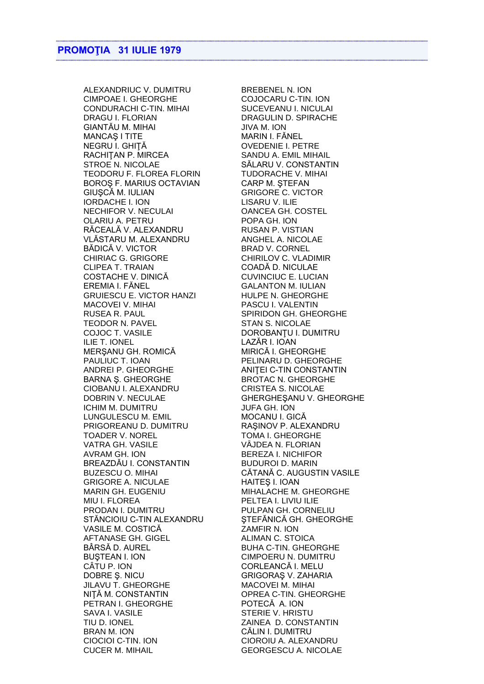ALEXANDRIUC V. DUMITRU BREBENEL N. ION CIMPOAE I. GHEORGHE COJOCARU C-TIN. ION CONDURACHI C-TIN. MIHAI SUCEVEANU I. NICULAI DRAGU I. FLORIAN DRAGULIN D. SPIRACHE GIANTĂU M. MIHAI JIVA M. ION MANCAȘ I TITE MARIN I. FĂNEL NEGRU I. GHIȚĂ OVEDENIE I. PETRE RACHIȚAN P. MIRCEA SANDU A. EMIL MIHAIL STROE N. NICOLAE SĂLARU V. CONSTANTIN TEODORU F. FLOREA FLORIN TUDORACHE V. MIHAI BOROŞ F. MARIUS OCTAVIAN CARP M. ŞTEFAN GIUSCĂ M. IULIAN GRIGORE C. VICTOR IORDACHE I. ION LISARU V. ILIE NECHIFOR V. NECULAI OANCEA GH. COSTEL OLARIU A. PETRU POPA GH. ION RĂCEALĂ V. ALEXANDRU RUSAN P. VISTIAN VLĂSTARU M. ALEXANDRU ANGHEL A. NICOLAE BĂDICĂ V. VICTOR BRAD V. CORNEL CHIRIAC G. GRIGORE CHIRILOV C. VLADIMIR CLIPEA T. TRAIAN COADĂ D. NICULAE COSTACHE V. DINICĂ CUVINCIUC E. LUCIAN EREMIA I. FĂNEL GALANTON M. IULIAN GRUIESCU E. VICTOR HANZI HULPE N. GHEORGHE MACOVEI V. MIHAI PASCU I. VALENTIN RUSEA R. PAUL SPIRIDON GH. GHEORGHE TEODOR N. PAVEL STAN S. NICOLAE COJOC T. VASILE DOROBANȚU I. DUMITRU ILIE T. IONEL LAZĂR I. IOAN MERSANU GH. ROMICĂ MIRICĂ I. GHEORGHE PAULIUC T. IOAN PELINARU D. GHEORGHE ANDREI P. GHEORGHE ANITEI C-TIN CONSTANTIN BARNA Ş. GHEORGHE BROTAC N. GHEORGHE CIOBANU I. ALEXANDRU CRISTEA S. NICOLAE DOBRIN V. NECULAE GHERGHEŞANU V. GHEORGHE ICHIM M. DUMITRU JUFA GH. ION LUNGULESCU M. EMIL MOCANU I. GICĂ PRIGOREANU D. DUMITRU RAŞINOV P. ALEXANDRU TOADER V. NOREL TOMA I. GHEORGHE VATRA GH. VASILE VÂJDEA N. FLORIAN AVRAM GH. ION BEREZA I. NICHIFOR BREAZDĂU I. CONSTANTIN BUDUROI D. MARIN GRIGORE A. NICULAE HAITES I. IOAN MARIN GH. EUGENIU MIHALACHE M. GHEORGHE MIU I. FLOREA PELTEA I. LIVIU ILIE PRODAN I. DUMITRU PULPAN GH. CORNELIU STĂNCIOIU C-TIN ALEXANDRU ŞTEFĂNICĂ GH. GHEORGHE VASILE M. COSTICĂ ZAMFIR N. ION AFTANASE GH. GIGEL ALIMAN C. STOICA BÂRSĂ D. AUREL BUHA C-TIN. GHEORGHE BUSTEAN I. ION CIMPOERU N. DUMITRU CÂTU P. ION CORLEANCĂ I. MELU JILAVU T. GHEORGHE MACOVEI M. MIHAI NIŢĂ M. CONSTANTIN OPREA C-TIN. GHEORGHE PETRAN I. GHEORGHE POTECĂ A. ION SAVA I. VASILE SAVA I. VASILE TIU D. IONEL ZAINEA D. CONSTANTIN BRAN M. ION CĂLIN I. DUMITRU CIOCIOI C-TIN. ION CIOROIU A. ALEXANDRU CUCER M. MIHAIL GEORGESCU A. NICOLAE

CĂTANĂ C. AUGUSTIN VASILE GRIGORAŞ V. ZAHARIA